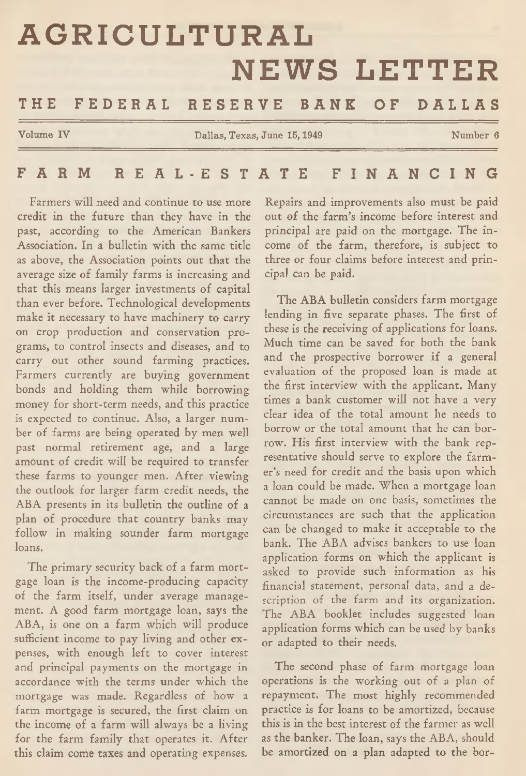# **AGRICULTURAL NEWS LETTER** THE FEDERAL RESERVE BANK OF DALLAS

**Volume IV** Dallas, Texas, June 15, 1949 Number 6

## FARM REAL-ESTATE FINANCING

Farmers will need and continue to use more credit in the future than they have in the past, according to the American Bankers Association. In a bulletin with the same title as above, the Association points out that the average size of family farms is increasing and that this means larger investments of capital than ever before. Technological developments make it necessary to have machinery to carry on crop production and conservation programs, to control insects and diseases, and to carry out other sound farming practices. Farmers currently are buying government bonds and holding them while borrowing money for short-term needs, and this practice is expected to continue. Also, a larger number of farms are being operated by men well past normal retirement age, and a large amount of credit will be required to transfer these farms to younger men. After viewing the outlook for larger farm credit needs, the ABA presents in its bulletin the outline of a plan of procedure that country banks may follow in making sounder farm mortgage loans.

The primary security back of a farm mortgage loan is the income-producing capacity of the farm itself, under average management. A good farm mortgage loan, says the ABA, is one on a farm which will produce sufficient income to pay living and other expenses, with enough left to cover interest and principal payments on the mortgage in accordance with the terms under which the mortgage was made. Regardless of how a farm mortgage is secured, the first claim on the income of a farm will always be a living for the farm family that operates it. After this claim come taxes and operating expenses.

Repairs and improvements also must be paid out of the farm's income before interest and principal are paid on the mortgage. The income of the farm, therefore, is subject to three or four claims before interest and principal can be paid.

The ABA bulletin considers farm mortgage lending in five separate phases. The first of these is the receiving of applications for loans. Much time can be saved for both the bank and the prospective borrower if a general evaluation of the proposed loan is made at the first interview with the applicant. Many times a bank customer will not have a very clear idea of the total amount he needs to borrow or the total amount that he can borrow. His first interview with the bank representative should serve to explore the farmer's need for credit and the basis upon which a loan could be made. When a mortgage loan cannot be made on one basis, sometimes the circumstances are such that the application can be changed to make it acceptable to the bank. The ABA advises bankers to use loan application forms on which the applicant is asked to provide such information as his financial statement, personal data, and a description of the farm and its organization. The ABA booklet includes suggested loan application forms which can be used by banks or adapted to their needs.

The second phase of farm mortgage loan operations is the working out of a plan of repayment. The most highly recommended practice is for loans to be amortized, because this is in the best interest of the farmer as well as the banker. The loan, says the ABA, should be amortized on a plan adapted to the bor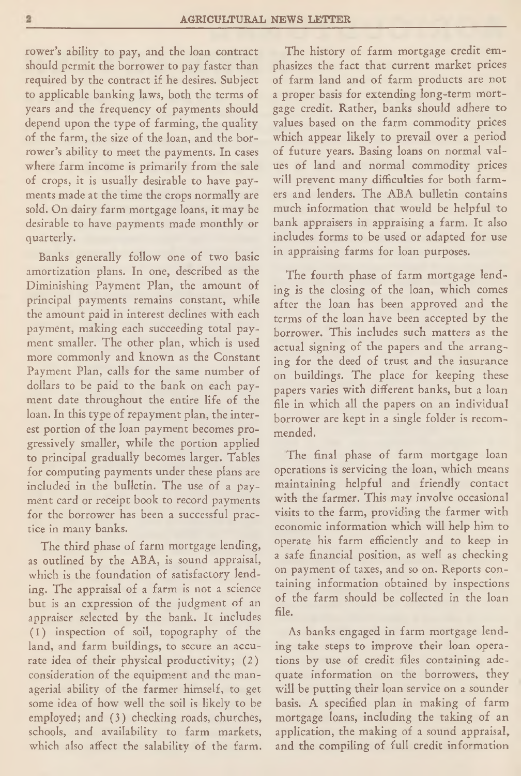rower's ability to pay, and the loan contract should permit the borrower to pay faster than required by the contract if he desires. Subject to applicable banking laws, both the terms of years and the frequency of payments should depend upon the type of farming, the quality of the farm, the size of the loan, and the borrower's ability to meet the payments. In cases where farm income is primarily from the sale of crops, it is usually desirable to have payments made at the time the crops normally are sold. On dairy farm mortgage loans, it may be desirable to have payments made monthly or quarterly.

Banks generally follow one of two basic amortization plans. In one, described as the Diminishing Payment Plan, the amount of principal payments remains constant, while the amount paid in interest declines with each payment, making each succeeding total payment smaller. The other plan, which is used more commonly and known as the Constant Payment Plan, calls for the same number of dollars to be paid to the bank on each payment date throughout the entire life of the loan. In this type of repayment plan, the interest portion of the loan payment becomes progressively smaller, while the portion applied to principal gradually becomes larger. Tables for computing payments under these plans arc included in the bulletin. The use of a payment card or receipt book to record payments for the borrower has been a successful practice in many banks.

The third phase of farm mortgage lending, as outlined by the ABA, is sound appraisal, which is the foundation of satisfactory lending. The appraisal of a farm is not a science but is an expression of the judgment of an appraiser selected by the bank. It includes (1) inspection of soil, topography of the land, and farm buildings, to secure an accurate idea of their physical productivity; (2) consideration of the equipment and the managerial ability of the farmer himself, to get some idea of how well the soil is likely to be employed; and (3) checking roads, churches, schools, and availability to farm markets, which also affect the salability of the farm.

The history of farm mortgage credit emphasizes the fact that current market prices of farm land and of farm products are not a proper basis for extending long-term mortgage credit. Rather, banks should adhere to values based on the farm commodity prices which appear likely to prevail over a period of future years. Basing loans on normal values of land and normal commodity prices will prevent many difficulties for both farmers and lenders. The ABA bulletin contains much information that would be helpful to bank appraisers in appraising a farm. It also includes forms to be used or adapted for use in appraising farms for loan purposes.

The fourth phase of farm mortgage lending is the closing of the loan, which comes after the loan has been approved and the terms of the loan have been accepted by the borrower. This includes such matters as the actual signing of the papers and the arranging for the deed of trust and the insurance on buildings. The place for keeping these papers varies with different banks, but a loan file in which all the papers on an individual borrower are kept in a single folder is recommended.

The final phase of farm mortgage loan operations is servicing the loan, which means maintaining helpful and friendly contact with the farmer. This may involve occasional visits to the farm, providing the farmer with economic information which will help him to operate his farm efficiently and to keep in a safe financial position, as well as checking on payment of taxes, and so on. Reports containing information obtained by inspections of the farm should be collected in the loan file.

As banks engaged in farm mortgage lending take steps to improve their loan operations by use of credit files containing adequate information on the borrowers, they will be putting their loan service on a sounder basis. A specified plan in making of farm mortgage loans, including the taking of an application, the making of a sound appraisal, and the compiling of full credit information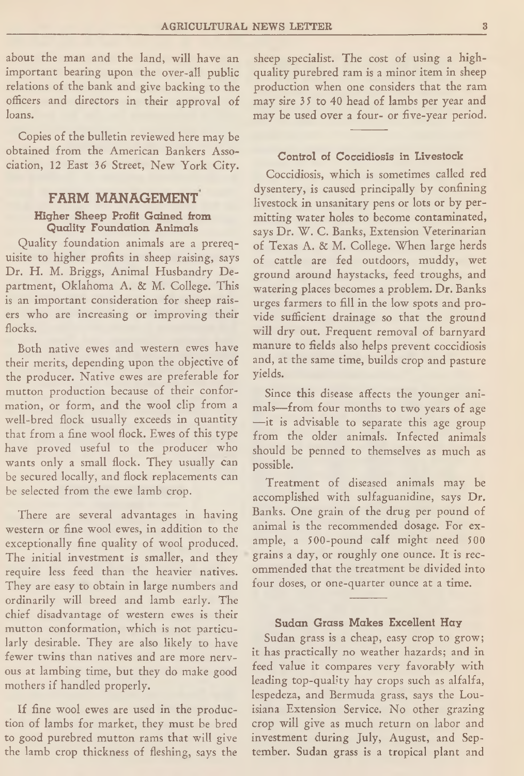about the man and the land, will have an important bearing upon the over-all public relations of the bank and give backing to the officers and directors in their approval of loans.

Copies of the bulletin reviewed here may be obtained from the American Bankers Association, 12 East 36 Street, New York City.

## FARM MANAGEMENT Higher Sheep Profit Gained from Quality Foundation Animals

Quality foundation animals are a prerequisite to higher profits in sheep raising, says Dr. H. M. Briggs, Animal Husbandry Department, Oklahoma A. & M. College. This is an important consideration for sheep raisers who are increasing or improving their flocks.

Both native ewes and western ewes have their merits, depending upon the objective of the producer. Native ewes are preferable for mutton production because of their conformation, or form, and the wool clip from a well-bred flock usually exceeds in quantity that from a fine wool flock. Ewes of this type have proved useful to the producer who wants only a small flock. They usually can be secured locally, and flock replacements can be selected from the ewe lamb crop.

There are several advantages in having western or fine wool ewes, in addition to the exceptionally fine quality of wool produced. The initial investment is smaller, and they require less feed than the heavier natives. They are easy to obtain in large numbers and ordinarily will breed and lamb early. The chief disadvantage of western ewes is their mutton conformation, which is not particularly desirable. They are also likely to have fewer twins than natives and are more nervous at lambing time, but they do make good mothers if handled properly.

If fine wool ewes are used in the production of lambs for market, they must be bred to good purebred mutton rams that will give the lamb crop thickness of fleshing, says the

sheep specialist. The cost of using a highquality purebred ram is a minor item in sheep production when one considers that the ram may sire 35 to 40 head of lambs per year and may be used over a four- or five-year period.

#### Control of Coccidiosis in Livestock

Coccidiosis, which is sometimes called red dysentery, is caused principally by confining livestock in unsanitary pens or lots or by permitting water holes to become contaminated, says Dr. W. C. Banks, Extension Veterinarian of Texas A. & M. College. When large herds of cattle are fed outdoors, muddy, wet ground around haystacks, feed troughs, and watering places becomes a problem. Dr. Banks urges farmers to fill in the low spots and provide sufficient drainage so that the ground will dry out. Frequent removal of barnyard manure to fields also helps prevent coccidiosis and, at the same time, builds crop and pasture yields.

Since this disease affects the younger animals— from four months to two years of age —it is advisable to separate this age group from the older animals. Infected animals should be penned to themselves as much as possible.

Treatment of diseased animals may be accomplished with sulfaguanidine, says Dr. Banks. One grain of the drug per pound of animal is the recommended dosage. For example, a 500-pound calf might need 500 grains a day, or roughly one ounce. It is recommended that the treatment be divided into four doses, or one-quarter ounce at a time.

### Sudan Grass Makes Excellent Hay

Sudan grass is a cheap, easy crop to grow; it has practically no weather hazards; and in feed value it compares very favorably with leading top-quality hay crops such as alfalfa, lespedeza, and Bermuda grass, says the Louisiana Extension Service. No other grazing crop will give as much return on labor and investment during July, August, and September. Sudan grass is a tropical plant and